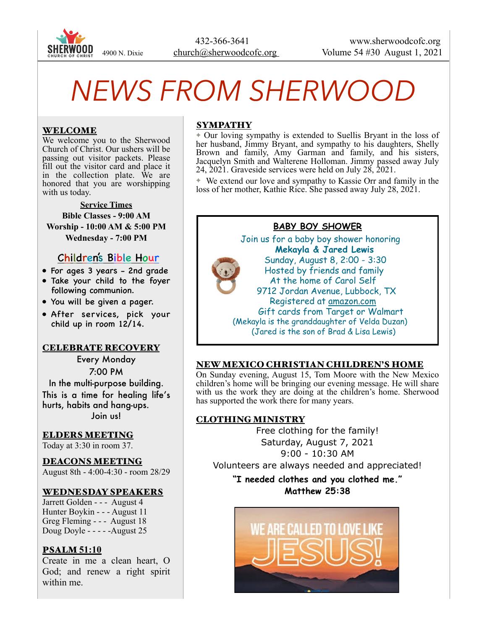

# *NEWS FROM SHERWOOD*

## WELCOME

We welcome you to the Sherwood Church of Christ. Our ushers will be passing out visitor packets. Please fill out the visitor card and place it in the collection plate. We are honored that you are worshipping with us today.

**Service Times Bible Classes - 9:00 AM Worship - 10:00 AM & 5:00 PM Wednesday - 7:00 PM** 

# Children's Bible Hour

- For ages 3 years 2nd grade
- Take your child to the foyer following communion.
- You will be given a pager.
- After services, pick your child up in room 12/14.

## CELEBRATE RECOVERY

Every Monday 7:00 PM In the multi-purpose building. This is a time for healing life's hurts, habits and hang-ups. Join us!

## ELDERS MEETING

Today at 3:30 in room 37.

## DEACONS MEETING

August 8th - 4:00-4:30 - room 28/29

## WEDNESDAY SPEAKERS

Jarrett Golden - - - August 4 Hunter Boykin - - - August 11 Greg Fleming - - - August 18 Doug Doyle - - - - -August 25

## PSALM **51:10**

Create in me a clean heart, O God; and renew a right spirit within me.

## SYMPATHY

✦ Our loving sympathy is extended to Suellis Bryant in the loss of her husband, Jimmy Bryant, and sympathy to his daughters, Shelly Brown and family, Amy Garman and family, and his sisters, Jacquelyn Smith and Walterene Holloman. Jimmy passed away July 24, 2021. Graveside services were held on July 28, 2021.

✦ We extend our love and sympathy to Kassie Orr and family in the loss of her mother, Kathie Rice. She passed away July 28, 2021.

## **BABY BOY SHOWER**

 Join us for a baby boy shower honoring **Mekayla & Jared Lewis** Sunday, August 8, 2:00 - 3:30 Hosted by friends and family At the home of Carol Self 9712 Jordan Avenue, Lubbock, TX Registered at [amazon.com](http://amazon.com) Gift cards from Target or Walmart (Mekayla is the granddaughter of Velda Duzan) (Jared is the son of Brad & Lisa Lewis)

## NEW MEXICO CHRISTIAN CHILDREN'S HOME

On Sunday evening, August 15, Tom Moore with the New Mexico children's home will be bringing our evening message. He will share with us the work they are doing at the children's home. Sherwood has supported the work there for many years.

## CLOTHING MINISTRY

Free clothing for the family! Saturday, August 7, 2021 9:00 - 10:30 AM Volunteers are always needed and appreciated!

**"I needed clothes and you clothed me." Matthew 25:38**